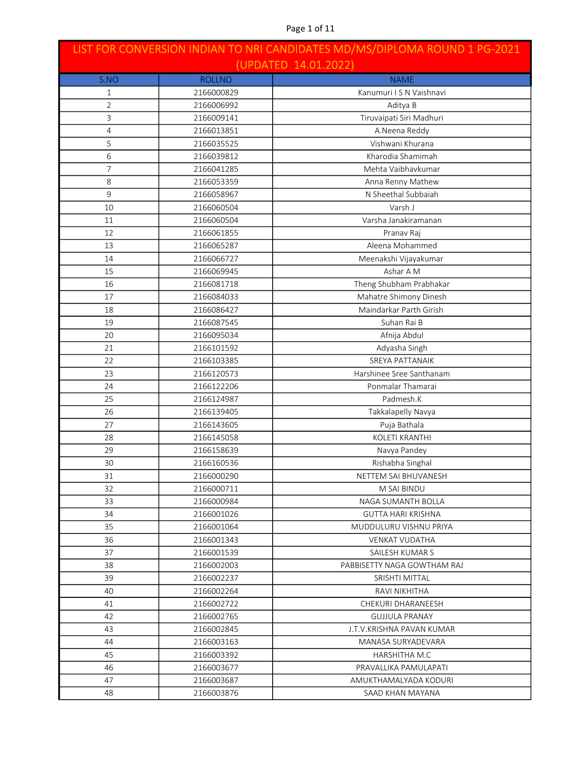| LIST FOR CONVERSION INDIAN TO NRI CANDIDATES MD/MS/DIPLOMA ROUND 1 PG-2021 |               |                             |
|----------------------------------------------------------------------------|---------------|-----------------------------|
|                                                                            |               | (UPDATED 14.01.2022)        |
| S.NO                                                                       | <b>ROLLNO</b> | <b>NAME</b>                 |
| 1                                                                          | 2166000829    | Kanumuri I S N Vaishnavi    |
| $\overline{2}$                                                             | 2166006992    | Aditya B                    |
| 3                                                                          | 2166009141    | Tiruvaipati Siri Madhuri    |
| 4                                                                          | 2166013851    | A.Neena Reddy               |
| 5                                                                          | 2166035525    | Vishwani Khurana            |
| 6                                                                          | 2166039812    | Kharodia Shamimah           |
| $\overline{7}$                                                             | 2166041285    | Mehta Vaibhavkumar          |
| 8                                                                          | 2166053359    | Anna Renny Mathew           |
| 9                                                                          | 2166058967    | N Sheethal Subbaiah         |
| 10                                                                         | 2166060504    | Varsh J                     |
| 11                                                                         | 2166060504    | Varsha Janakiramanan        |
| 12                                                                         | 2166061855    | Pranav Raj                  |
| 13                                                                         | 2166065287    | Aleena Mohammed             |
| 14                                                                         | 2166066727    | Meenakshi Vijayakumar       |
| 15                                                                         | 2166069945    | Ashar A M                   |
| 16                                                                         | 2166081718    | Theng Shubham Prabhakar     |
| 17                                                                         | 2166084033    | Mahatre Shimony Dinesh      |
| 18                                                                         | 2166086427    | Maindarkar Parth Girish     |
| 19                                                                         | 2166087545    | Suhan Rai B                 |
| 20                                                                         | 2166095034    | Afnija Abdul                |
| 21                                                                         | 2166101592    | Adyasha Singh               |
| 22                                                                         | 2166103385    | <b>SREYA PATTANAIK</b>      |
| 23                                                                         | 2166120573    | Harshinee Sree Santhanam    |
| 24                                                                         | 2166122206    | Ponmalar Thamarai           |
| 25                                                                         | 2166124987    | Padmesh.K                   |
| 26                                                                         | 2166139405    | Takkalapelly Navya          |
| 27                                                                         | 2166143605    | Puja Bathala                |
| 28                                                                         | 2166145058    | KOLETI KRANTHI              |
| 29                                                                         | 2166158639    | Navya Pandey                |
| 30                                                                         | 2166160536    | Rishabha Singhal            |
| 31                                                                         | 2166000290    | NETTEM SAI BHUVANESH        |
| 32                                                                         | 2166000711    | M SAI BINDU                 |
| 33                                                                         | 2166000984    | NAGA SUMANTH BOLLA          |
| 34                                                                         | 2166001026    | <b>GUTTA HARI KRISHNA</b>   |
| 35                                                                         | 2166001064    | MUDDULURU VISHNU PRIYA      |
| 36                                                                         | 2166001343    | <b>VENKAT VUDATHA</b>       |
| 37                                                                         | 2166001539    | SAILESH KUMAR S             |
| 38                                                                         | 2166002003    | PABBISETTY NAGA GOWTHAM RAJ |
| 39                                                                         | 2166002237    | SRISHTI MITTAL              |
| 40                                                                         | 2166002264    | RAVI NIKHITHA               |
| 41                                                                         | 2166002722    | CHEKURI DHARANEESH          |
| 42                                                                         | 2166002765    | <b>GUJJULA PRANAY</b>       |
| 43                                                                         | 2166002845    | J.T.V.KRISHNA PAVAN KUMAR   |
| 44                                                                         | 2166003163    | MANASA SURYADEVARA          |
| 45                                                                         | 2166003392    | HARSHITHA M.C               |
| 46                                                                         | 2166003677    | PRAVALLIKA PAMULAPATI       |
| 47                                                                         | 2166003687    | AMUKTHAMALYADA KODURI       |
| 48                                                                         | 2166003876    | SAAD KHAN MAYANA            |
|                                                                            |               |                             |

# Page 1 of 11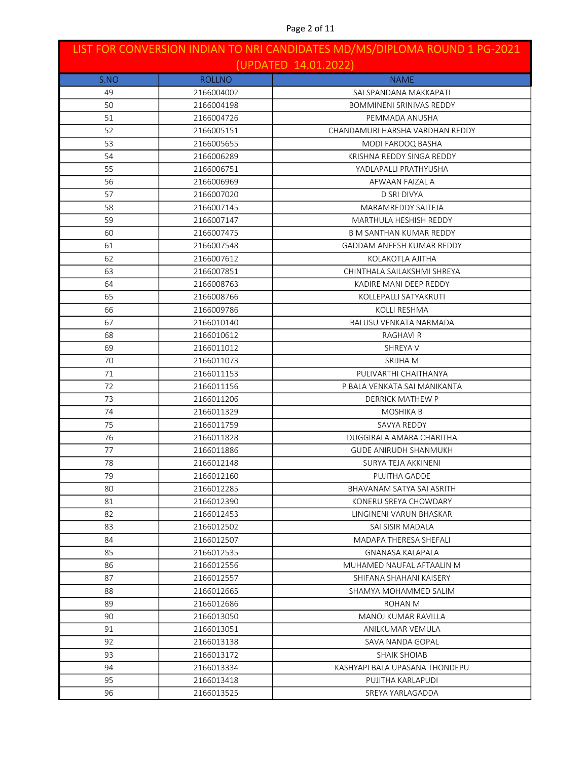| LIST FOR CONVERSION INDIAN TO NRI CANDIDATES MD/MS/DIPLOMA ROUND 1 PG-2021<br>(UPDATED 14.01.2022) |               |                                 |
|----------------------------------------------------------------------------------------------------|---------------|---------------------------------|
| S.NO                                                                                               | <b>ROLLNO</b> | <b>NAME</b>                     |
| 49                                                                                                 | 2166004002    | SAI SPANDANA MAKKAPATI          |
| 50                                                                                                 | 2166004198    | <b>BOMMINENI SRINIVAS REDDY</b> |
| 51                                                                                                 | 2166004726    | PEMMADA ANUSHA                  |
| 52                                                                                                 | 2166005151    | CHANDAMURI HARSHA VARDHAN REDDY |
| 53                                                                                                 | 2166005655    | MODI FAROOQ BASHA               |
| 54                                                                                                 | 2166006289    | KRISHNA REDDY SINGA REDDY       |
| 55                                                                                                 | 2166006751    | YADLAPALLI PRATHYUSHA           |
| 56                                                                                                 | 2166006969    | AFWAAN FAIZAL A                 |
| 57                                                                                                 | 2166007020    | <b>D SRI DIVYA</b>              |
| 58                                                                                                 | 2166007145    | MARAMREDDY SAITEJA              |
| 59                                                                                                 | 2166007147    | MARTHULA HESHISH REDDY          |
| 60                                                                                                 | 2166007475    | <b>B M SANTHAN KUMAR REDDY</b>  |
| 61                                                                                                 | 2166007548    | GADDAM ANEESH KUMAR REDDY       |
| 62                                                                                                 | 2166007612    | KOLAKOTLA AJITHA                |
| 63                                                                                                 | 2166007851    | CHINTHALA SAILAKSHMI SHREYA     |
| 64                                                                                                 | 2166008763    | KADIRE MANI DEEP REDDY          |
| 65                                                                                                 | 2166008766    | KOLLEPALLI SATYAKRUTI           |
| 66                                                                                                 | 2166009786    | <b>KOLLI RESHMA</b>             |
| 67                                                                                                 | 2166010140    | BALUSU VENKATA NARMADA          |
| 68                                                                                                 | 2166010612    | RAGHAVI R                       |
| 69                                                                                                 | 2166011012    | SHREYA V                        |
| 70                                                                                                 | 2166011073    | SRIJHA M                        |
| 71                                                                                                 | 2166011153    | PULIVARTHI CHAITHANYA           |
| 72                                                                                                 | 2166011156    | P BALA VENKATA SAI MANIKANTA    |
| 73                                                                                                 | 2166011206    | <b>DERRICK MATHEW P</b>         |
| 74                                                                                                 | 2166011329    | <b>MOSHIKA B</b>                |
| 75                                                                                                 | 2166011759    | <b>SAVYA REDDY</b>              |
| 76                                                                                                 | 2166011828    | DUGGIRALA AMARA CHARITHA        |
| 77                                                                                                 | 2166011886    | <b>GUDE ANIRUDH SHANMUKH</b>    |
| 78                                                                                                 | 2166012148    | SURYA TEJA AKKINENI             |
| 79                                                                                                 | 2166012160    | PUJITHA GADDE                   |
| 80                                                                                                 | 2166012285    | BHAVANAM SATYA SAI ASRITH       |
| 81                                                                                                 | 2166012390    | KONERU SREYA CHOWDARY           |
| 82                                                                                                 | 2166012453    | LINGINENI VARUN BHASKAR         |
| 83                                                                                                 | 2166012502    | SAI SISIR MADALA                |
| 84                                                                                                 | 2166012507    | MADAPA THERESA SHEFALI          |
| 85                                                                                                 | 2166012535    | <b>GNANASA KALAPALA</b>         |
| 86                                                                                                 | 2166012556    | MUHAMED NAUFAL AFTAALIN M       |
| 87                                                                                                 | 2166012557    | SHIFANA SHAHANI KAISERY         |
| 88                                                                                                 | 2166012665    | SHAMYA MOHAMMED SALIM           |
| 89                                                                                                 | 2166012686    | ROHAN M                         |
| 90                                                                                                 | 2166013050    | <b>MANOJ KUMAR RAVILLA</b>      |
| 91                                                                                                 | 2166013051    | ANILKUMAR VEMULA                |
| 92                                                                                                 | 2166013138    | SAVA NANDA GOPAL                |
| 93                                                                                                 | 2166013172    | SHAIK SHOIAB                    |
| 94                                                                                                 | 2166013334    | KASHYAPI BALA UPASANA THONDEPU  |
| 95                                                                                                 | 2166013418    | PUJITHA KARLAPUDI               |
| 96                                                                                                 | 2166013525    | SREYA YARLAGADDA                |

# Page 2 of 11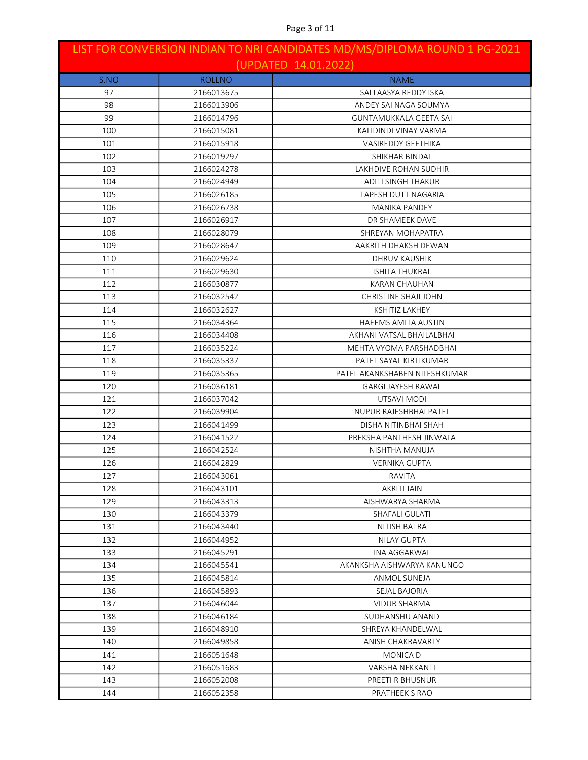| LIST FOR CONVERSION INDIAN TO NRI CANDIDATES MD/MS/DIPLOMA ROUND 1 PG-2021<br>(UPDATED 14.01.2022) |               |                               |
|----------------------------------------------------------------------------------------------------|---------------|-------------------------------|
| S.NO                                                                                               | <b>ROLLNO</b> | <b>NAME</b>                   |
| 97                                                                                                 | 2166013675    | SAI LAASYA REDDY ISKA         |
| 98                                                                                                 | 2166013906    | ANDEY SAI NAGA SOUMYA         |
| 99                                                                                                 | 2166014796    | <b>GUNTAMUKKALA GEETA SAI</b> |
| 100                                                                                                | 2166015081    | KALIDINDI VINAY VARMA         |
| 101                                                                                                | 2166015918    | <b>VASIREDDY GEETHIKA</b>     |
| 102                                                                                                | 2166019297    | SHIKHAR BINDAL                |
| 103                                                                                                | 2166024278    | LAKHDIVE ROHAN SUDHIR         |
| 104                                                                                                | 2166024949    | ADITI SINGH THAKUR            |
| 105                                                                                                | 2166026185    | TAPESH DUTT NAGARIA           |
| 106                                                                                                | 2166026738    | MANIKA PANDEY                 |
| 107                                                                                                | 2166026917    | DR SHAMEEK DAVE               |
| 108                                                                                                | 2166028079    | SHREYAN MOHAPATRA             |
| 109                                                                                                | 2166028647    | AAKRITH DHAKSH DEWAN          |
| 110                                                                                                | 2166029624    | DHRUV KAUSHIK                 |
| 111                                                                                                | 2166029630    | <b>ISHITA THUKRAL</b>         |
| 112                                                                                                | 2166030877    | KARAN CHAUHAN                 |
| 113                                                                                                | 2166032542    | CHRISTINE SHAJI JOHN          |
| 114                                                                                                | 2166032627    | <b>KSHITIZ LAKHEY</b>         |
| 115                                                                                                | 2166034364    | <b>HAEEMS AMITA AUSTIN</b>    |
| 116                                                                                                | 2166034408    | AKHANI VATSAL BHAILALBHAI     |
| 117                                                                                                | 2166035224    | MEHTA VYOMA PARSHADBHAI       |
| 118                                                                                                | 2166035337    | PATEL SAYAL KIRTIKUMAR        |
| 119                                                                                                | 2166035365    | PATEL AKANKSHABEN NILESHKUMAR |
| 120                                                                                                | 2166036181    | <b>GARGI JAYESH RAWAL</b>     |
| 121                                                                                                | 2166037042    | UTSAVI MODI                   |
| 122                                                                                                | 2166039904    | <b>NUPUR RAJESHBHAI PATEL</b> |
| 123                                                                                                | 2166041499    | DISHA NITINBHAI SHAH          |
| 124                                                                                                | 2166041522    | PREKSHA PANTHESH JINWALA      |
| 125                                                                                                | 2166042524    | NISHTHA MANUJA                |
| 126                                                                                                | 2166042829    | <b>VERNIKA GUPTA</b>          |
| 127                                                                                                | 2166043061    | RAVITA                        |
| 128                                                                                                | 2166043101    | AKRITI JAIN                   |
| 129                                                                                                | 2166043313    | AISHWARYA SHARMA              |
| 130                                                                                                | 2166043379    | SHAFALI GULATI                |
| 131                                                                                                | 2166043440    | NITISH BATRA                  |
| 132                                                                                                | 2166044952    | <b>NILAY GUPTA</b>            |
| 133                                                                                                | 2166045291    | INA AGGARWAL                  |
| 134                                                                                                | 2166045541    | AKANKSHA AISHWARYA KANUNGO    |
| 135                                                                                                | 2166045814    | ANMOL SUNEJA                  |
| 136                                                                                                | 2166045893    | SEJAL BAJORIA                 |
| 137                                                                                                | 2166046044    | <b>VIDUR SHARMA</b>           |
| 138                                                                                                | 2166046184    | SUDHANSHU ANAND               |
| 139                                                                                                | 2166048910    | SHREYA KHANDELWAL             |
| 140                                                                                                | 2166049858    | ANISH CHAKRAVARTY             |
| 141                                                                                                | 2166051648    | MONICA D                      |
| 142                                                                                                | 2166051683    | VARSHA NEKKANTI               |
| 143                                                                                                | 2166052008    | PREETI R BHUSNUR              |
| 144                                                                                                | 2166052358    | PRATHEEK S RAO                |

### Page 3 of 11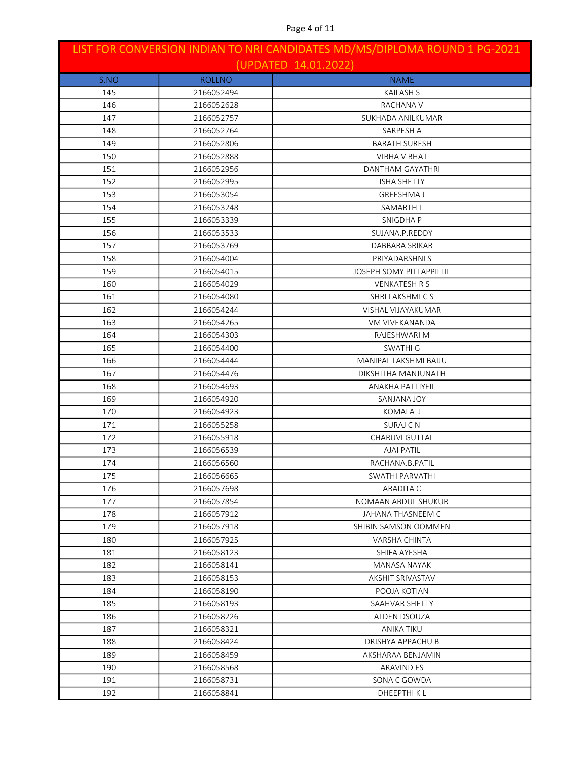| LIST FOR CONVERSION INDIAN TO NRI CANDIDATES MD/MS/DIPLOMA ROUND 1 PG-2021<br>(UPDATED 14.01.2022) |               |                                 |
|----------------------------------------------------------------------------------------------------|---------------|---------------------------------|
| S.NO                                                                                               | <b>ROLLNO</b> | <b>NAME</b>                     |
| 145                                                                                                | 2166052494    | <b>KAILASH S</b>                |
| 146                                                                                                | 2166052628    | RACHANA V                       |
| 147                                                                                                | 2166052757    | SUKHADA ANILKUMAR               |
| 148                                                                                                | 2166052764    | SARPESH A                       |
| 149                                                                                                | 2166052806    | <b>BARATH SURESH</b>            |
| 150                                                                                                | 2166052888    | <b>VIBHA V BHAT</b>             |
| 151                                                                                                | 2166052956    | <b>DANTHAM GAYATHRI</b>         |
| 152                                                                                                | 2166052995    | <b>ISHA SHETTY</b>              |
| 153                                                                                                | 2166053054    | <b>GREESHMA J</b>               |
| 154                                                                                                | 2166053248    | SAMARTH L                       |
| 155                                                                                                | 2166053339    | SNIGDHA P                       |
| 156                                                                                                | 2166053533    | SUJANA.P.REDDY                  |
| 157                                                                                                | 2166053769    | DABBARA SRIKAR                  |
| 158                                                                                                | 2166054004    | PRIYADARSHNI S                  |
| 159                                                                                                | 2166054015    | <b>JOSEPH SOMY PITTAPPILLIL</b> |
| 160                                                                                                | 2166054029    | <b>VENKATESH R S</b>            |
| 161                                                                                                | 2166054080    | SHRI LAKSHMICS                  |
| 162                                                                                                | 2166054244    | VISHAL VIJAYAKUMAR              |
| 163                                                                                                | 2166054265    | VM VIVEKANANDA                  |
| 164                                                                                                | 2166054303    | RAJESHWARI M                    |
| 165                                                                                                | 2166054400    | <b>SWATHI G</b>                 |
| 166                                                                                                | 2166054444    | MANIPAL LAKSHMI BAIJU           |
| 167                                                                                                | 2166054476    | DIKSHITHA MANJUNATH             |
| 168                                                                                                | 2166054693    | <b>ANAKHA PATTIYEIL</b>         |
| 169                                                                                                | 2166054920    | SANJANA JOY                     |
| 170                                                                                                | 2166054923    | KOMALA J                        |
| 171                                                                                                | 2166055258    | SURAJ C N                       |
| 172                                                                                                | 2166055918    | CHARUVI GUTTAL                  |
| 173                                                                                                | 2166056539    | <b>AJAI PATIL</b>               |
| 174                                                                                                | 2166056560    | RACHANA.B.PATIL                 |
| 175                                                                                                | 2166056665    | SWATHI PARVATHI                 |
| 176                                                                                                | 2166057698    | ARADITA C                       |
| 177                                                                                                | 2166057854    | NOMAAN ABDUL SHUKUR             |
| 178                                                                                                | 2166057912    | JAHANA THASNEEM C               |
| 179                                                                                                | 2166057918    | SHIBIN SAMSON OOMMEN            |
| 180                                                                                                | 2166057925    | VARSHA CHINTA                   |
| 181                                                                                                | 2166058123    | SHIFA AYESHA                    |
| 182                                                                                                | 2166058141    | MANASA NAYAK                    |
| 183                                                                                                | 2166058153    | AKSHIT SRIVASTAV                |
| 184                                                                                                | 2166058190    | POOJA KOTIAN                    |
| 185                                                                                                | 2166058193    | SAAHVAR SHETTY                  |
| 186                                                                                                | 2166058226    | ALDEN DSOUZA                    |
| 187                                                                                                | 2166058321    | ANIKA TIKU                      |
| 188                                                                                                | 2166058424    | DRISHYA APPACHU B               |
| 189                                                                                                | 2166058459    | AKSHARAA BENJAMIN               |
| 190                                                                                                | 2166058568    | <b>ARAVIND ES</b>               |
| 191                                                                                                | 2166058731    | SONA C GOWDA                    |
| 192                                                                                                | 2166058841    | DHEEPTHI K L                    |

#### Page 4 of 11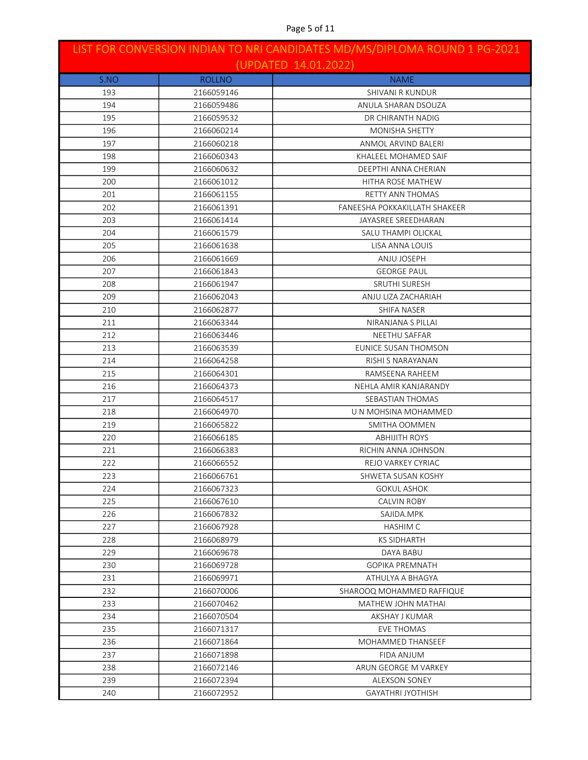| LIST FOR CONVERSION INDIAN TO NRI CANDIDATES MD/MS/DIPLOMA ROUND 1 PG-2021<br>(UPDATED 14.01.2022) |               |                               |
|----------------------------------------------------------------------------------------------------|---------------|-------------------------------|
| S.NO                                                                                               | <b>ROLLNO</b> | <b>NAME</b>                   |
| 193                                                                                                | 2166059146    | SHIVANI R KUNDUR              |
| 194                                                                                                | 2166059486    | ANULA SHARAN DSOUZA           |
| 195                                                                                                | 2166059532    | DR CHIRANTH NADIG             |
| 196                                                                                                | 2166060214    | <b>MONISHA SHETTY</b>         |
| 197                                                                                                | 2166060218    | ANMOL ARVIND BALERI           |
| 198                                                                                                | 2166060343    | KHALEEL MOHAMED SAIF          |
| 199                                                                                                | 2166060632    | DEEPTHI ANNA CHERIAN          |
| 200                                                                                                | 2166061012    | HITHA ROSE MATHEW             |
| 201                                                                                                | 2166061155    | <b>RETTY ANN THOMAS</b>       |
| 202                                                                                                | 2166061391    | FANEESHA POKKAKILLATH SHAKEER |
| 203                                                                                                | 2166061414    | JAYASREE SREEDHARAN           |
| 204                                                                                                | 2166061579    | SALU THAMPI OLICKAL           |
| 205                                                                                                | 2166061638    | LISA ANNA LOUIS               |
| 206                                                                                                | 2166061669    | ANJU JOSEPH                   |
| 207                                                                                                | 2166061843    | <b>GEORGE PAUL</b>            |
| 208                                                                                                | 2166061947    | <b>SRUTHI SURESH</b>          |
| 209                                                                                                | 2166062043    | ANJU LIZA ZACHARIAH           |
| 210                                                                                                | 2166062877    | <b>SHIFA NASER</b>            |
| 211                                                                                                | 2166063344    | NIRANJANA S PILLAI            |
| 212                                                                                                | 2166063446    | NEETHU SAFFAR                 |
| 213                                                                                                | 2166063539    | EUNICE SUSAN THOMSON          |
| 214                                                                                                | 2166064258    | RISHI S NARAYANAN             |
| 215                                                                                                | 2166064301    | RAMSEENA RAHEEM               |
| 216                                                                                                | 2166064373    | NEHLA AMIR KANJARANDY         |
| 217                                                                                                | 2166064517    | SEBASTIAN THOMAS              |
| 218                                                                                                | 2166064970    | U N MOHSINA MOHAMMED          |
| 219                                                                                                | 2166065822    | SMITHA OOMMEN                 |
| 220                                                                                                | 2166066185    | <b>ABHIJITH ROYS</b>          |
| 221                                                                                                | 2166066383    | RICHIN ANNA JOHNSON           |
| 222                                                                                                | 2166066552    | REJO VARKEY CYRIAC            |
| 223                                                                                                | 2166066761    | SHWETA SUSAN KOSHY            |
| 224                                                                                                | 2166067323    | GOKUL ASHOK                   |
| 225                                                                                                | 2166067610    | <b>CALVIN ROBY</b>            |
| 226                                                                                                | 2166067832    | SAJIDA.MPK                    |
| 227                                                                                                | 2166067928    | HASHIM C                      |
| 228                                                                                                | 2166068979    | <b>KS SIDHARTH</b>            |
| 229                                                                                                | 2166069678    | DAYA BABU                     |
| 230                                                                                                | 2166069728    | <b>GOPIKA PREMNATH</b>        |
| 231                                                                                                | 2166069971    | ATHULYA A BHAGYA              |
| 232                                                                                                | 2166070006    | SHAROOQ MOHAMMED RAFFIQUE     |
| 233                                                                                                | 2166070462    | MATHEW JOHN MATHAI            |
| 234                                                                                                | 2166070504    | AKSHAY J KUMAR                |
| 235                                                                                                | 2166071317    | EVE THOMAS                    |
| 236                                                                                                | 2166071864    | MOHAMMED THANSEEF             |
| 237                                                                                                | 2166071898    | FIDA ANJUM                    |
| 238                                                                                                | 2166072146    | ARUN GEORGE M VARKEY          |
| 239                                                                                                | 2166072394    | ALEXSON SONEY                 |
| 240                                                                                                | 2166072952    | GAYATHRI JYOTHISH             |

### Page 5 of 11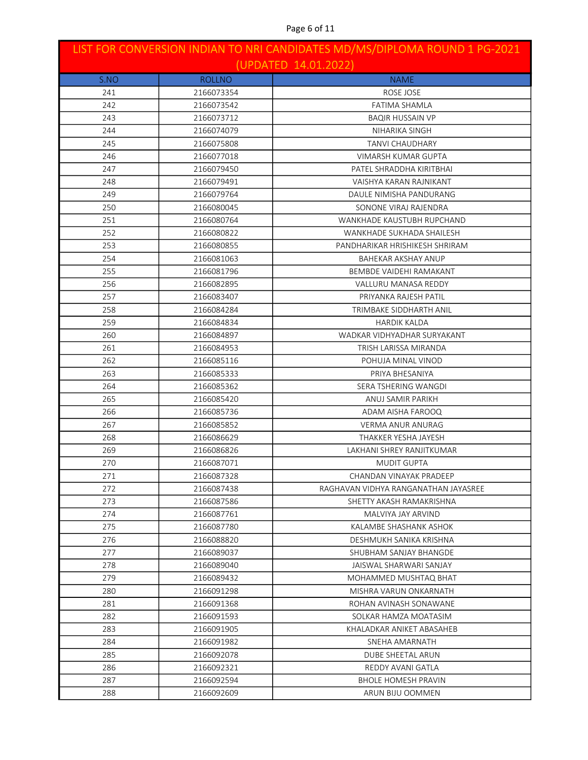| LIST FOR CONVERSION INDIAN TO NRI CANDIDATES MD/MS/DIPLOMA ROUND 1 PG-2021<br>(UPDATED 14.01.2022) |               |                                      |
|----------------------------------------------------------------------------------------------------|---------------|--------------------------------------|
| S.NO                                                                                               | <b>ROLLNO</b> | <b>NAME</b>                          |
| 241                                                                                                | 2166073354    | ROSE JOSE                            |
| 242                                                                                                | 2166073542    | FATIMA SHAMLA                        |
| 243                                                                                                | 2166073712    | <b>BAQIR HUSSAIN VP</b>              |
| 244                                                                                                | 2166074079    | NIHARIKA SINGH                       |
| 245                                                                                                | 2166075808    | <b>TANVI CHAUDHARY</b>               |
| 246                                                                                                | 2166077018    | VIMARSH KUMAR GUPTA                  |
| 247                                                                                                | 2166079450    | PATEL SHRADDHA KIRITBHAI             |
| 248                                                                                                | 2166079491    | VAISHYA KARAN RAJNIKANT              |
| 249                                                                                                | 2166079764    | DAULE NIMISHA PANDURANG              |
| 250                                                                                                | 2166080045    | SONONE VIRAJ RAJENDRA                |
| 251                                                                                                | 2166080764    | WANKHADE KAUSTUBH RUPCHAND           |
| 252                                                                                                | 2166080822    | WANKHADE SUKHADA SHAILESH            |
| 253                                                                                                | 2166080855    | PANDHARIKAR HRISHIKESH SHRIRAM       |
| 254                                                                                                | 2166081063    | <b>BAHEKAR AKSHAY ANUP</b>           |
| 255                                                                                                | 2166081796    | BEMBDE VAIDEHI RAMAKANT              |
| 256                                                                                                | 2166082895    | <b>VALLURU MANASA REDDY</b>          |
| 257                                                                                                | 2166083407    | PRIYANKA RAJESH PATIL                |
| 258                                                                                                | 2166084284    | TRIMBAKE SIDDHARTH ANIL              |
| 259                                                                                                | 2166084834    | <b>HARDIK KALDA</b>                  |
| 260                                                                                                | 2166084897    | WADKAR VIDHYADHAR SURYAKANT          |
| 261                                                                                                | 2166084953    | TRISH LARISSA MIRANDA                |
| 262                                                                                                | 2166085116    | POHUJA MINAL VINOD                   |
| 263                                                                                                | 2166085333    | PRIYA BHESANIYA                      |
| 264                                                                                                | 2166085362    | SERA TSHERING WANGDI                 |
| 265                                                                                                | 2166085420    | ANUJ SAMIR PARIKH                    |
| 266                                                                                                | 2166085736    | ADAM AISHA FAROOQ                    |
| 267                                                                                                | 2166085852    | VERMA ANUR ANURAG                    |
| 268                                                                                                | 2166086629    | THAKKER YESHA JAYESH                 |
| 269                                                                                                | 2166086826    | <b>LAKHANI SHREY RANJITKUMAR</b>     |
| 270                                                                                                | 2166087071    | <b>MUDIT GUPTA</b>                   |
| 271                                                                                                | 2166087328    | CHANDAN VINAYAK PRADEEP              |
| 272                                                                                                | 2166087438    | RAGHAVAN VIDHYA RANGANATHAN JAYASREE |
| 273                                                                                                | 2166087586    | SHETTY AKASH RAMAKRISHNA             |
| 274                                                                                                | 2166087761    | MALVIYA JAY ARVIND                   |
| 275                                                                                                | 2166087780    | KALAMBE SHASHANK ASHOK               |
| 276                                                                                                | 2166088820    | DESHMUKH SANIKA KRISHNA              |
| 277                                                                                                | 2166089037    | SHUBHAM SANJAY BHANGDE               |
| 278                                                                                                | 2166089040    | JAISWAL SHARWARI SANJAY              |
| 279                                                                                                | 2166089432    | MOHAMMED MUSHTAQ BHAT                |
| 280                                                                                                | 2166091298    | MISHRA VARUN ONKARNATH               |
| 281                                                                                                | 2166091368    | ROHAN AVINASH SONAWANE               |
| 282                                                                                                | 2166091593    | SOLKAR HAMZA MOATASIM                |
| 283                                                                                                | 2166091905    | KHALADKAR ANIKET ABASAHEB            |
| 284                                                                                                | 2166091982    | SNEHA AMARNATH                       |
| 285                                                                                                | 2166092078    | DUBE SHEETAL ARUN                    |
| 286                                                                                                | 2166092321    | REDDY AVANI GATLA                    |
| 287                                                                                                | 2166092594    | <b>BHOLE HOMESH PRAVIN</b>           |
| 288                                                                                                | 2166092609    | ARUN BIJU OOMMEN                     |

### Page 6 of 11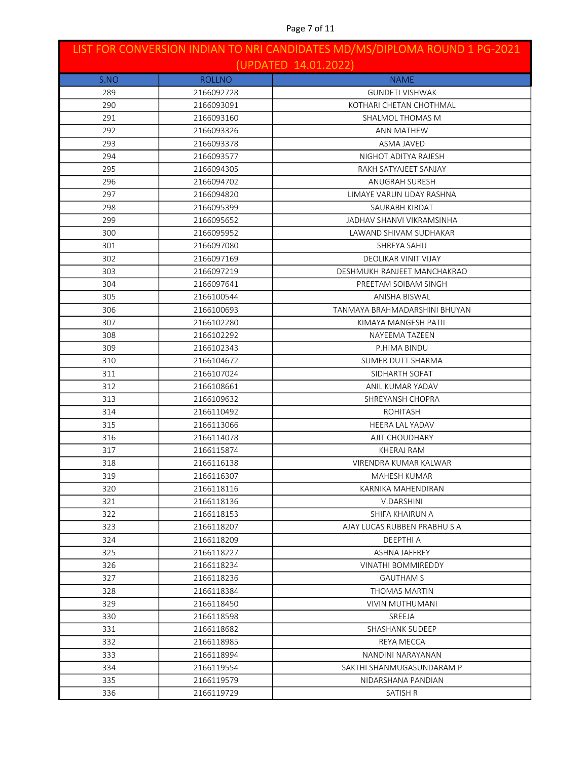| LIST FOR CONVERSION INDIAN TO NRI CANDIDATES MD/MS/DIPLOMA ROUND 1 PG-2021<br>(UPDATED 14.01.2022) |               |                               |
|----------------------------------------------------------------------------------------------------|---------------|-------------------------------|
| S.NO                                                                                               | <b>ROLLNO</b> | <b>NAME</b>                   |
| 289                                                                                                | 2166092728    | <b>GUNDETI VISHWAK</b>        |
| 290                                                                                                | 2166093091    | KOTHARI CHETAN CHOTHMAL       |
| 291                                                                                                | 2166093160    | SHALMOL THOMAS M              |
| 292                                                                                                | 2166093326    | <b>ANN MATHEW</b>             |
| 293                                                                                                | 2166093378    | ASMA JAVED                    |
| 294                                                                                                | 2166093577    | NIGHOT ADITYA RAJESH          |
| 295                                                                                                | 2166094305    | RAKH SATYAJEET SANJAY         |
| 296                                                                                                | 2166094702    | ANUGRAH SURESH                |
| 297                                                                                                | 2166094820    | LIMAYE VARUN UDAY RASHNA      |
| 298                                                                                                | 2166095399    | SAURABH KIRDAT                |
| 299                                                                                                | 2166095652    | JADHAV SHANVI VIKRAMSINHA     |
| 300                                                                                                | 2166095952    | LAWAND SHIVAM SUDHAKAR        |
| 301                                                                                                | 2166097080    | SHREYA SAHU                   |
| 302                                                                                                | 2166097169    | DEOLIKAR VINIT VIJAY          |
| 303                                                                                                | 2166097219    | DESHMUKH RANJEET MANCHAKRAO   |
| 304                                                                                                | 2166097641    | PREETAM SOIBAM SINGH          |
| 305                                                                                                | 2166100544    | ANISHA BISWAL                 |
| 306                                                                                                | 2166100693    | TANMAYA BRAHMADARSHINI BHUYAN |
| 307                                                                                                | 2166102280    | KIMAYA MANGESH PATIL          |
| 308                                                                                                | 2166102292    | NAYEEMA TAZEEN                |
| 309                                                                                                | 2166102343    | P.HIMA BINDU                  |
| 310                                                                                                | 2166104672    | SUMER DUTT SHARMA             |
| 311                                                                                                | 2166107024    | SIDHARTH SOFAT                |
| 312                                                                                                | 2166108661    | ANIL KUMAR YADAV              |
| 313                                                                                                | 2166109632    | SHREYANSH CHOPRA              |
| 314                                                                                                | 2166110492    | <b>ROHITASH</b>               |
| 315                                                                                                | 2166113066    | <b>HEERA LAL YADAV</b>        |
| 316                                                                                                | 2166114078    | AJIT CHOUDHARY                |
| 317                                                                                                | 2166115874    | KHERAJ RAM                    |
| 318                                                                                                | 2166116138    | VIRENDRA KUMAR KALWAR         |
| 319                                                                                                | 2166116307    | MAHESH KUMAR                  |
| 320                                                                                                | 2166118116    | KARNIKA MAHENDIRAN            |
| 321                                                                                                | 2166118136    | V.DARSHINI                    |
| 322                                                                                                | 2166118153    | SHIFA KHAIRUN A               |
| 323                                                                                                | 2166118207    | AJAY LUCAS RUBBEN PRABHUSA    |
| 324                                                                                                | 2166118209    | DEEPTHI A                     |
| 325                                                                                                | 2166118227    | ASHNA JAFFREY                 |
| 326                                                                                                | 2166118234    | <b>VINATHI BOMMIREDDY</b>     |
| 327                                                                                                | 2166118236    | <b>GAUTHAM S</b>              |
| 328                                                                                                | 2166118384    | THOMAS MARTIN                 |
| 329                                                                                                | 2166118450    | VIVIN MUTHUMANI               |
| 330                                                                                                | 2166118598    | SREEJA                        |
| 331                                                                                                | 2166118682    | SHASHANK SUDEEP               |
| 332                                                                                                | 2166118985    | REYA MECCA                    |
| 333                                                                                                | 2166118994    | NANDINI NARAYANAN             |
| 334                                                                                                | 2166119554    | SAKTHI SHANMUGASUNDARAM P     |
| 335                                                                                                | 2166119579    | NIDARSHANA PANDIAN            |
| 336                                                                                                | 2166119729    | SATISH R                      |

### Page 7 of 11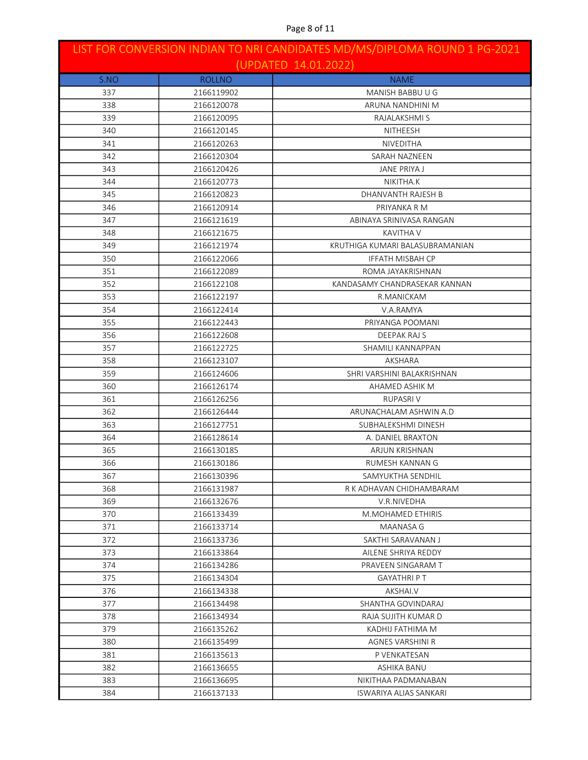| LIST FOR CONVERSION INDIAN TO NRI CANDIDATES MD/MS/DIPLOMA ROUND 1 PG-2021<br>(UPDATED 14.01.2022) |               |                                 |
|----------------------------------------------------------------------------------------------------|---------------|---------------------------------|
|                                                                                                    | <b>ROLLNO</b> | <b>NAME</b>                     |
| S.NO<br>337                                                                                        | 2166119902    | MANISH BABBU U G                |
| 338                                                                                                | 2166120078    | ARUNA NANDHINI M                |
| 339                                                                                                | 2166120095    | RAJALAKSHMI S                   |
| 340                                                                                                | 2166120145    | NITHEESH                        |
| 341                                                                                                | 2166120263    | <b>NIVEDITHA</b>                |
| 342                                                                                                | 2166120304    | SARAH NAZNEEN                   |
| 343                                                                                                | 2166120426    | <b>JANE PRIYA J</b>             |
| 344                                                                                                | 2166120773    | NIKITHA.K                       |
| 345                                                                                                | 2166120823    | DHANVANTH RAJESH B              |
| 346                                                                                                | 2166120914    | PRIYANKA R M                    |
| 347                                                                                                | 2166121619    | ABINAYA SRINIVASA RANGAN        |
| 348                                                                                                | 2166121675    | <b>KAVITHA V</b>                |
| 349                                                                                                | 2166121974    | KRUTHIGA KUMARI BALASUBRAMANIAN |
| 350                                                                                                | 2166122066    | <b>IFFATH MISBAH CP</b>         |
| 351                                                                                                | 2166122089    | ROMA JAYAKRISHNAN               |
| 352                                                                                                | 2166122108    | KANDASAMY CHANDRASEKAR KANNAN   |
| 353                                                                                                | 2166122197    | R.MANICKAM                      |
| 354                                                                                                | 2166122414    | V.A.RAMYA                       |
| 355                                                                                                | 2166122443    | PRIYANGA POOMANI                |
| 356                                                                                                | 2166122608    | DEEPAK RAJ S                    |
| 357                                                                                                | 2166122725    | SHAMILI KANNAPPAN               |
| 358                                                                                                | 2166123107    | AKSHARA                         |
| 359                                                                                                | 2166124606    | SHRI VARSHINI BALAKRISHNAN      |
| 360                                                                                                | 2166126174    | AHAMED ASHIK M                  |
| 361                                                                                                | 2166126256    | <b>RUPASRIV</b>                 |
| 362                                                                                                | 2166126444    | ARUNACHALAM ASHWIN A.D          |
| 363                                                                                                | 2166127751    | SUBHALEKSHMI DINESH             |
| 364                                                                                                | 2166128614    | A. DANIEL BRAXTON               |
| 365                                                                                                | 2166130185    | ARJUN KRISHNAN                  |
| 366                                                                                                | 2166130186    | RUMESH KANNAN G                 |
| 367                                                                                                | 2166130396    | SAMYUKTHA SENDHIL               |
| 368                                                                                                | 2166131987    | R K ADHAVAN CHIDHAMBARAM        |
| 369                                                                                                | 2166132676    | V.R.NIVEDHA                     |
| 370                                                                                                | 2166133439    | M.MOHAMED ETHIRIS               |
| 371                                                                                                | 2166133714    | MAANASA G                       |
| 372                                                                                                | 2166133736    | SAKTHI SARAVANAN J              |
| 373                                                                                                | 2166133864    | AILENE SHRIYA REDDY             |
| 374                                                                                                | 2166134286    | PRAVEEN SINGARAM T              |
| 375                                                                                                | 2166134304    | <b>GAYATHRI P T</b>             |
| 376                                                                                                | 2166134338    | AKSHAI.V                        |
| 377                                                                                                | 2166134498    | SHANTHA GOVINDARAJ              |
| 378                                                                                                | 2166134934    | RAJA SUJITH KUMAR D             |
| 379                                                                                                | 2166135262    | KADHIJ FATHIMA M                |
| 380                                                                                                | 2166135499    | AGNES VARSHINI R                |
| 381                                                                                                | 2166135613    | P VENKATESAN                    |
| 382                                                                                                | 2166136655    | ASHIKA BANU                     |
| 383                                                                                                | 2166136695    | NIKITHAA PADMANABAN             |
| 384                                                                                                | 2166137133    | ISWARIYA ALIAS SANKARI          |

### Page 8 of 11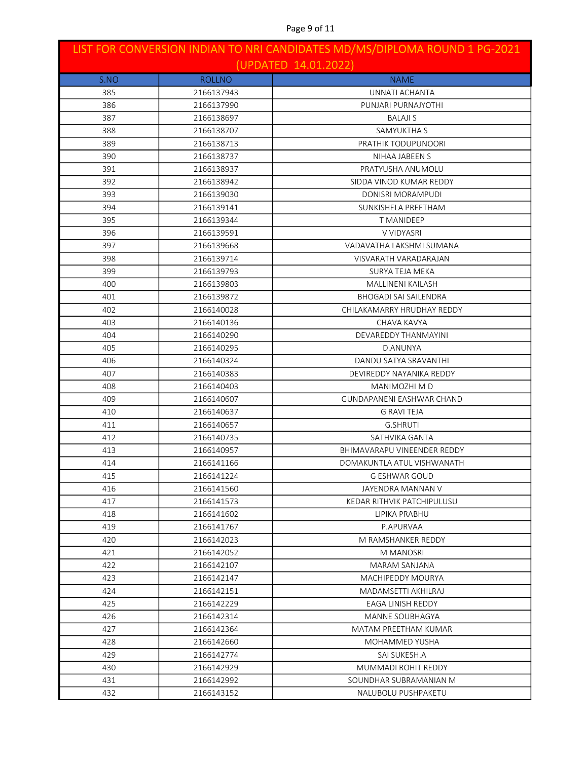| LIST FOR CONVERSION INDIAN TO NRI CANDIDATES MD/MS/DIPLOMA ROUND 1 PG-2021<br>(UPDATED 14.01.2022) |               |                                  |
|----------------------------------------------------------------------------------------------------|---------------|----------------------------------|
| S.NO                                                                                               | <b>ROLLNO</b> | <b>NAME</b>                      |
| 385                                                                                                | 2166137943    | UNNATI ACHANTA                   |
| 386                                                                                                | 2166137990    | PUNJARI PURNAJYOTHI              |
| 387                                                                                                | 2166138697    | <b>BALAJI S</b>                  |
| 388                                                                                                | 2166138707    | SAMYUKTHA S                      |
| 389                                                                                                | 2166138713    | PRATHIK TODUPUNOORI              |
| 390                                                                                                | 2166138737    | NIHAA JABEEN S                   |
| 391                                                                                                | 2166138937    | PRATYUSHA ANUMOLU                |
| 392                                                                                                | 2166138942    | SIDDA VINOD KUMAR REDDY          |
| 393                                                                                                | 2166139030    | DONISRI MORAMPUDI                |
| 394                                                                                                | 2166139141    | SUNKISHELA PREETHAM              |
| 395                                                                                                | 2166139344    | T MANIDEEP                       |
| 396                                                                                                | 2166139591    | V VIDYASRI                       |
| 397                                                                                                | 2166139668    | VADAVATHA LAKSHMI SUMANA         |
| 398                                                                                                | 2166139714    | VISVARATH VARADARAJAN            |
| 399                                                                                                | 2166139793    | SURYA TEJA MEKA                  |
| 400                                                                                                | 2166139803    | MALLINENI KAILASH                |
| 401                                                                                                | 2166139872    | <b>BHOGADI SAI SAILENDRA</b>     |
| 402                                                                                                | 2166140028    | CHILAKAMARRY HRUDHAY REDDY       |
| 403                                                                                                | 2166140136    | CHAVA KAVYA                      |
| 404                                                                                                | 2166140290    | DEVAREDDY THANMAYINI             |
| 405                                                                                                | 2166140295    | D.ANUNYA                         |
| 406                                                                                                | 2166140324    | DANDU SATYA SRAVANTHI            |
| 407                                                                                                | 2166140383    | DEVIREDDY NAYANIKA REDDY         |
| 408                                                                                                | 2166140403    | MANIMOZHI M D                    |
| 409                                                                                                | 2166140607    | <b>GUNDAPANENI EASHWAR CHAND</b> |
| 410                                                                                                | 2166140637    | <b>G RAVI TEJA</b>               |
| 411                                                                                                | 2166140657    | <b>G.SHRUTI</b>                  |
| 412                                                                                                | 2166140735    | SATHVIKA GANTA                   |
| 413                                                                                                | 2166140957    | BHIMAVARAPU VINEENDER REDDY      |
| 414                                                                                                | 2166141166    | DOMAKUNTLA ATUL VISHWANATH       |
| 415                                                                                                | 2166141224    | <b>G ESHWAR GOUD</b>             |
| 416                                                                                                | 2166141560    | JAYENDRA MANNAN V                |
| 417                                                                                                | 2166141573    | KEDAR RITHVIK PATCHIPULUSU       |
| 418                                                                                                | 2166141602    | LIPIKA PRABHU                    |
| 419                                                                                                | 2166141767    | P.APURVAA                        |
| 420                                                                                                | 2166142023    | M RAMSHANKER REDDY               |
| 421                                                                                                | 2166142052    | M MANOSRI                        |
| 422                                                                                                | 2166142107    | MARAM SANJANA                    |
| 423                                                                                                | 2166142147    | MACHIPEDDY MOURYA                |
| 424                                                                                                | 2166142151    | MADAMSETTI AKHILRAJ              |
| 425                                                                                                | 2166142229    | EAGA LINISH REDDY                |
| 426                                                                                                | 2166142314    | <b>MANNE SOUBHAGYA</b>           |
| 427                                                                                                | 2166142364    | MATAM PREETHAM KUMAR             |
| 428                                                                                                | 2166142660    | MOHAMMED YUSHA                   |
| 429                                                                                                | 2166142774    | SAI SUKESH.A                     |
| 430                                                                                                | 2166142929    | MUMMADI ROHIT REDDY              |
| 431                                                                                                | 2166142992    | SOUNDHAR SUBRAMANIAN M           |
| 432                                                                                                | 2166143152    | NALUBOLU PUSHPAKETU              |

### Page 9 of 11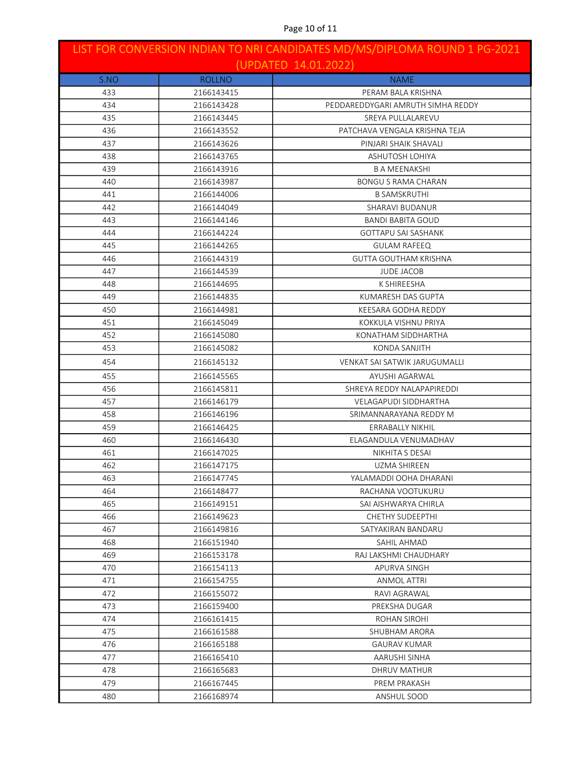| LIST FOR CONVERSION INDIAN TO NRI CANDIDATES MD/MS/DIPLOMA ROUND 1 PG-2021<br>(UPDATED 14.01.2022) |               |                                      |
|----------------------------------------------------------------------------------------------------|---------------|--------------------------------------|
| S.NO                                                                                               | <b>ROLLNO</b> | <b>NAME</b>                          |
| 433                                                                                                | 2166143415    | PERAM BALA KRISHNA                   |
| 434                                                                                                | 2166143428    | PEDDAREDDYGARI AMRUTH SIMHA REDDY    |
| 435                                                                                                | 2166143445    | SREYA PULLALAREVU                    |
| 436                                                                                                | 2166143552    | PATCHAVA VENGALA KRISHNA TEJA        |
| 437                                                                                                | 2166143626    | PINJARI SHAIK SHAVALI                |
| 438                                                                                                | 2166143765    | <b>ASHUTOSH LOHIYA</b>               |
| 439                                                                                                | 2166143916    | <b>B A MEENAKSHI</b>                 |
| 440                                                                                                | 2166143987    | <b>BONGU S RAMA CHARAN</b>           |
| 441                                                                                                | 2166144006    | <b>B SAMSKRUTHI</b>                  |
| 442                                                                                                | 2166144049    | SHARAVI BUDANUR                      |
| 443                                                                                                | 2166144146    | <b>BANDI BABITA GOUD</b>             |
| 444                                                                                                | 2166144224    | <b>GOTTAPU SAI SASHANK</b>           |
| 445                                                                                                | 2166144265    | <b>GULAM RAFEEQ</b>                  |
| 446                                                                                                | 2166144319    | <b>GUTTA GOUTHAM KRISHNA</b>         |
| 447                                                                                                | 2166144539    | <b>JUDE JACOB</b>                    |
| 448                                                                                                | 2166144695    | K SHIREESHA                          |
| 449                                                                                                | 2166144835    | KUMARESH DAS GUPTA                   |
| 450                                                                                                | 2166144981    | KEESARA GODHA REDDY                  |
| 451                                                                                                | 2166145049    | KOKKULA VISHNU PRIYA                 |
| 452                                                                                                | 2166145080    | KONATHAM SIDDHARTHA                  |
| 453                                                                                                | 2166145082    | <b>KONDA SANJITH</b>                 |
| 454                                                                                                | 2166145132    | <b>VENKAT SAI SATWIK JARUGUMALLI</b> |
| 455                                                                                                | 2166145565    | AYUSHI AGARWAL                       |
| 456                                                                                                | 2166145811    | SHREYA REDDY NALAPAPIREDDI           |
| 457                                                                                                | 2166146179    | <b>VELAGAPUDI SIDDHARTHA</b>         |
| 458                                                                                                | 2166146196    | SRIMANNARAYANA REDDY M               |
| 459                                                                                                | 2166146425    | ERRABALLY NIKHIL                     |
| 460                                                                                                | 2166146430    | ELAGANDULA VENUMADHAV                |
| 461                                                                                                | 2166147025    | NIKHITA S DESAI                      |
| 462                                                                                                | 2166147175    | UZMA SHIREEN                         |
| 463                                                                                                | 2166147745    | YALAMADDI OOHA DHARANI               |
| 464                                                                                                | 2166148477    | RACHANA VOOTUKURU                    |
| 465                                                                                                | 2166149151    | SAI AISHWARYA CHIRLA                 |
| 466                                                                                                | 2166149623    | <b>CHETHY SUDEEPTHI</b>              |
| 467                                                                                                | 2166149816    | SATYAKIRAN BANDARU                   |
| 468                                                                                                | 2166151940    | SAHIL AHMAD                          |
| 469                                                                                                | 2166153178    | RAJ LAKSHMI CHAUDHARY                |
| 470                                                                                                | 2166154113    | APURVA SINGH                         |
| 471                                                                                                | 2166154755    | ANMOL ATTRI                          |
| 472                                                                                                | 2166155072    | RAVI AGRAWAL                         |
| 473                                                                                                | 2166159400    | PREKSHA DUGAR                        |
| 474                                                                                                | 2166161415    | ROHAN SIROHI                         |
| 475                                                                                                | 2166161588    | SHUBHAM ARORA                        |
| 476                                                                                                | 2166165188    | <b>GAURAV KUMAR</b>                  |
| 477                                                                                                | 2166165410    | AARUSHI SINHA                        |
| 478                                                                                                | 2166165683    | DHRUV MATHUR                         |
| 479                                                                                                | 2166167445    | PREM PRAKASH                         |
| 480                                                                                                | 2166168974    | ANSHUL SOOD                          |

# Page 10 of 11